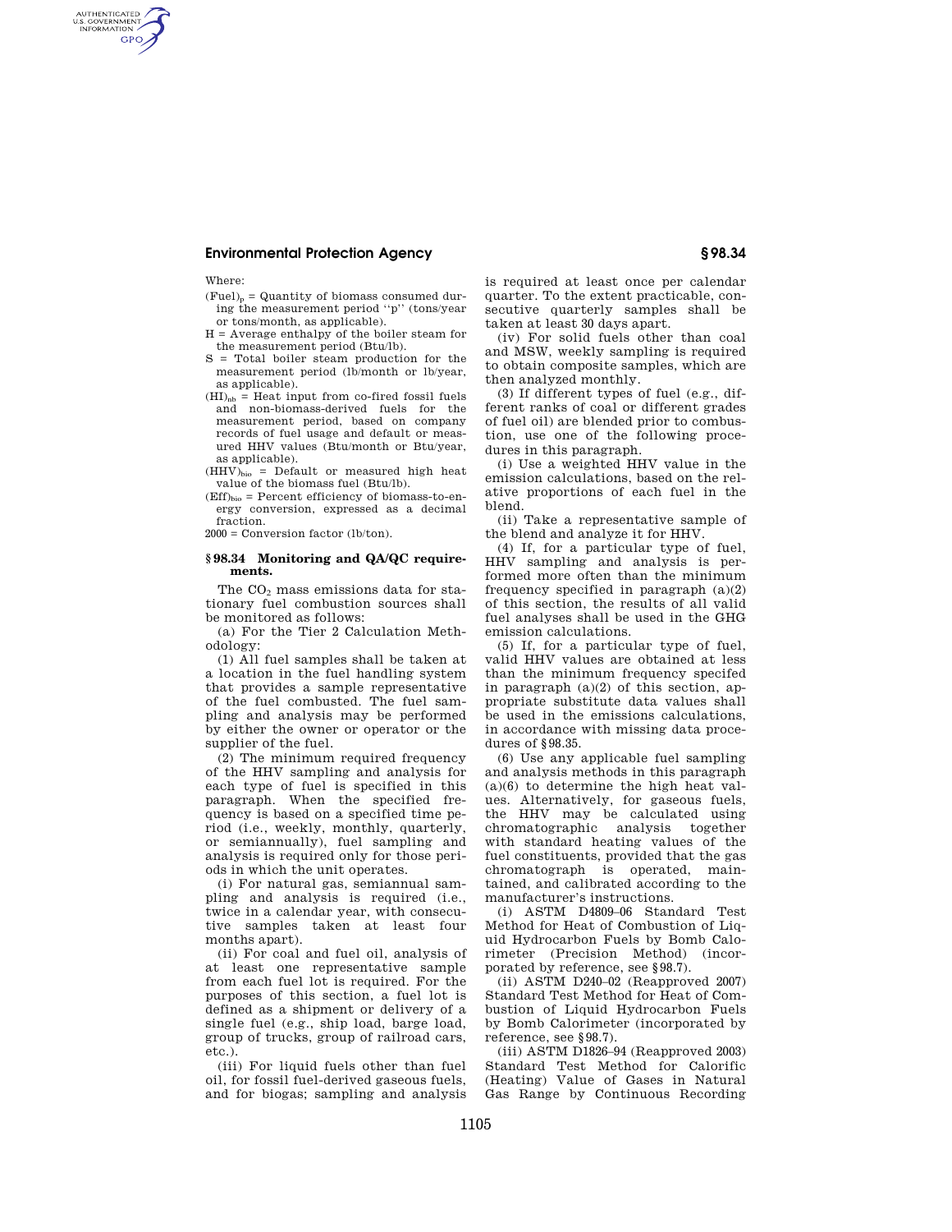# **Environmental Protection Agency § 98.34**

Where:

AUTHENTICATED<br>U.S. GOVERNMENT<br>INFORMATION **GPO** 

- $(Fuel)_p = Quantum Quantity of biomass consumed dur$ ing the measurement period ''p'' (tons/year or tons/month, as applicable).
- H = Average enthalpy of the boiler steam for the measurement period (Btu/lb).
- S = Total boiler steam production for the measurement period (lb/month or lb/year, as applicable).
- $(HI)_{nb}$  = Heat input from co-fired fossil fuels and non-biomass-derived fuels for the measurement period, based on company records of fuel usage and default or measured HHV values (Btu/month or Btu/year, as applicable).
- (HHV)bio = Default or measured high heat value of the biomass fuel (Btu/lb).
- $(Eff)_{bio}$  = Percent efficiency of biomass-to-energy conversion, expressed as a decimal fraction.
- 2000 = Conversion factor (lb/ton).

#### **§ 98.34 Monitoring and QA/QC requirements.**

The  $CO<sub>2</sub>$  mass emissions data for stationary fuel combustion sources shall be monitored as follows:

(a) For the Tier 2 Calculation Methodology:

(1) All fuel samples shall be taken at a location in the fuel handling system that provides a sample representative of the fuel combusted. The fuel sampling and analysis may be performed by either the owner or operator or the supplier of the fuel.

(2) The minimum required frequency of the HHV sampling and analysis for each type of fuel is specified in this paragraph. When the specified frequency is based on a specified time period (i.e., weekly, monthly, quarterly, or semiannually), fuel sampling and analysis is required only for those periods in which the unit operates.

(i) For natural gas, semiannual sampling and analysis is required (i.e., twice in a calendar year, with consecutive samples taken at least four months apart).

(ii) For coal and fuel oil, analysis of at least one representative sample from each fuel lot is required. For the purposes of this section, a fuel lot is defined as a shipment or delivery of a single fuel (e.g., ship load, barge load, group of trucks, group of railroad cars, etc.).

(iii) For liquid fuels other than fuel oil, for fossil fuel-derived gaseous fuels, and for biogas; sampling and analysis

is required at least once per calendar quarter. To the extent practicable, consecutive quarterly samples shall be taken at least 30 days apart.

(iv) For solid fuels other than coal and MSW, weekly sampling is required to obtain composite samples, which are then analyzed monthly.

(3) If different types of fuel (e.g., different ranks of coal or different grades of fuel oil) are blended prior to combustion, use one of the following procedures in this paragraph.

(i) Use a weighted HHV value in the emission calculations, based on the relative proportions of each fuel in the blend.

(ii) Take a representative sample of the blend and analyze it for HHV.

(4) If, for a particular type of fuel, HHV sampling and analysis is performed more often than the minimum frequency specified in paragraph  $(a)(2)$ of this section, the results of all valid fuel analyses shall be used in the GHG emission calculations.

(5) If, for a particular type of fuel, valid HHV values are obtained at less than the minimum frequency specifed in paragraph (a)(2) of this section, appropriate substitute data values shall be used in the emissions calculations, in accordance with missing data procedures of §98.35.

(6) Use any applicable fuel sampling and analysis methods in this paragraph  $(a)(6)$  to determine the high heat values. Alternatively, for gaseous fuels, the HHV may be calculated using chromatographic analysis together with standard heating values of the fuel constituents, provided that the gas chromatograph is operated, maintained, and calibrated according to the manufacturer's instructions.

(i) ASTM D4809–06 Standard Test Method for Heat of Combustion of Liquid Hydrocarbon Fuels by Bomb Calorimeter (Precision Method) (incorporated by reference, see §98.7).

(ii) ASTM D240–02 (Reapproved 2007) Standard Test Method for Heat of Combustion of Liquid Hydrocarbon Fuels by Bomb Calorimeter (incorporated by reference, see §98.7).

(iii) ASTM D1826–94 (Reapproved 2003) Standard Test Method for Calorific (Heating) Value of Gases in Natural Gas Range by Continuous Recording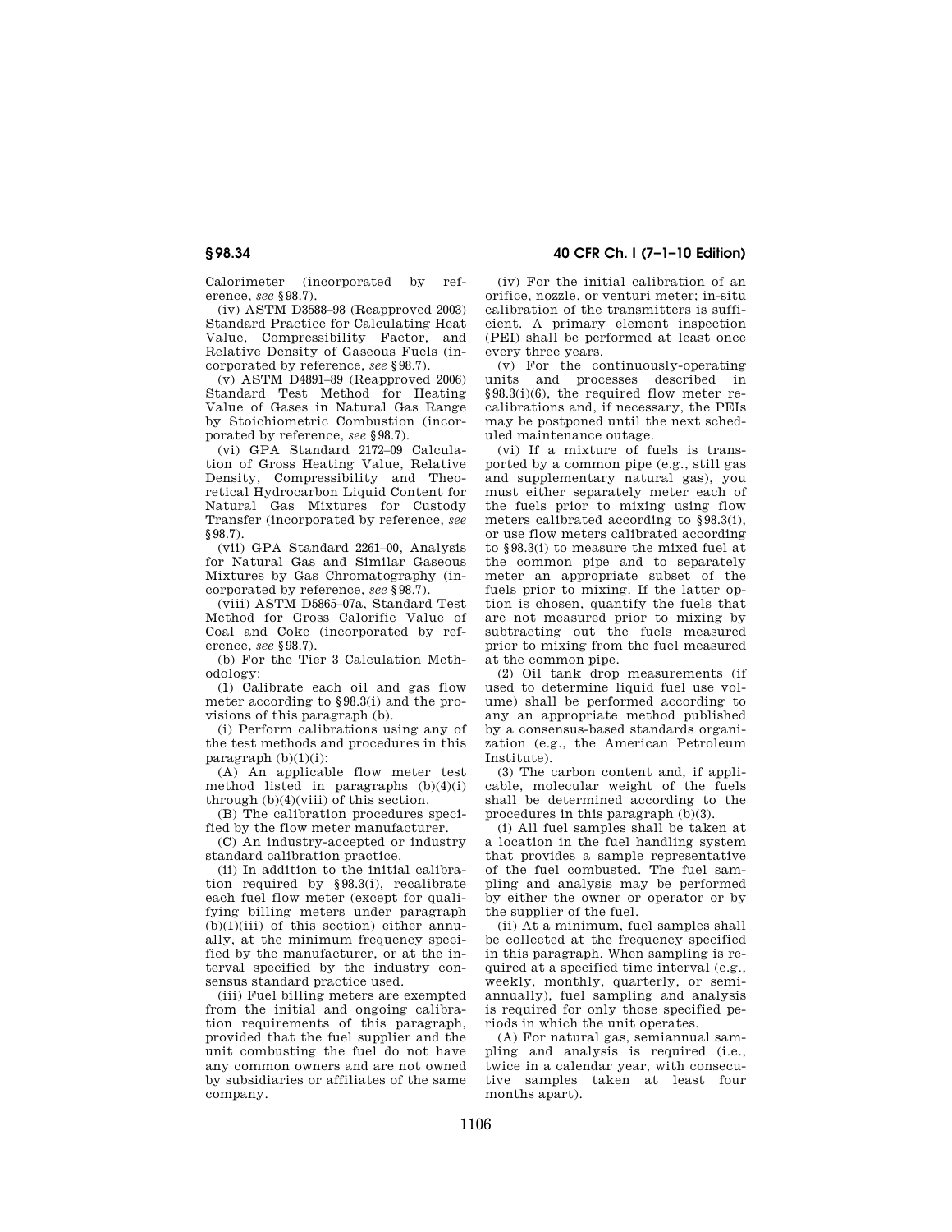Calorimeter (incorporated by reference, *see* §98.7).

(iv) ASTM D3588–98 (Reapproved 2003) Standard Practice for Calculating Heat Value, Compressibility Factor, and Relative Density of Gaseous Fuels (incorporated by reference, *see* §98.7).

(v) ASTM D4891–89 (Reapproved 2006) Standard Test Method for Heating Value of Gases in Natural Gas Range by Stoichiometric Combustion (incorporated by reference, *see* §98.7).

(vi) GPA Standard 2172–09 Calculation of Gross Heating Value, Relative Density, Compressibility and Theoretical Hydrocarbon Liquid Content for Natural Gas Mixtures for Custody Transfer (incorporated by reference, *see*  §98.7).

(vii) GPA Standard 2261–00, Analysis for Natural Gas and Similar Gaseous Mixtures by Gas Chromatography (incorporated by reference, *see* §98.7).

(viii) ASTM D5865–07a, Standard Test Method for Gross Calorific Value of Coal and Coke (incorporated by reference, *see* §98.7).

(b) For the Tier 3 Calculation Methodology:

(1) Calibrate each oil and gas flow meter according to §98.3(i) and the provisions of this paragraph (b).

(i) Perform calibrations using any of the test methods and procedures in this  $\text{pargraph (b)}(1)(i)$ :

(A) An applicable flow meter test method listed in paragraphs  $(b)(4)(i)$ through (b)(4)(viii) of this section.

(B) The calibration procedures specified by the flow meter manufacturer.

(C) An industry-accepted or industry standard calibration practice.

(ii) In addition to the initial calibration required by §98.3(i), recalibrate each fuel flow meter (except for qualifying billing meters under paragraph  $(b)(1)(iii)$  of this section) either annually, at the minimum frequency specified by the manufacturer, or at the interval specified by the industry consensus standard practice used.

(iii) Fuel billing meters are exempted from the initial and ongoing calibration requirements of this paragraph, provided that the fuel supplier and the unit combusting the fuel do not have any common owners and are not owned by subsidiaries or affiliates of the same company.

**§ 98.34 40 CFR Ch. I (7–1–10 Edition)** 

(iv) For the initial calibration of an orifice, nozzle, or venturi meter; in-situ calibration of the transmitters is sufficient. A primary element inspection (PEI) shall be performed at least once every three years.

(v) For the continuously-operating units and processes described in §98.3(i)(6), the required flow meter recalibrations and, if necessary, the PEIs may be postponed until the next scheduled maintenance outage.

(vi) If a mixture of fuels is transported by a common pipe (e.g., still gas and supplementary natural gas), you must either separately meter each of the fuels prior to mixing using flow meters calibrated according to §98.3(i), or use flow meters calibrated according to §98.3(i) to measure the mixed fuel at the common pipe and to separately meter an appropriate subset of the fuels prior to mixing. If the latter option is chosen, quantify the fuels that are not measured prior to mixing by subtracting out the fuels measured prior to mixing from the fuel measured at the common pipe.

(2) Oil tank drop measurements (if used to determine liquid fuel use volume) shall be performed according to any an appropriate method published by a consensus-based standards organization (e.g., the American Petroleum Institute).

(3) The carbon content and, if applicable, molecular weight of the fuels shall be determined according to the procedures in this paragraph (b)(3).

(i) All fuel samples shall be taken at a location in the fuel handling system that provides a sample representative of the fuel combusted. The fuel sampling and analysis may be performed by either the owner or operator or by the supplier of the fuel.

(ii) At a minimum, fuel samples shall be collected at the frequency specified in this paragraph. When sampling is required at a specified time interval (e.g., weekly, monthly, quarterly, or semiannually), fuel sampling and analysis is required for only those specified periods in which the unit operates.

(A) For natural gas, semiannual sampling and analysis is required (i.e., twice in a calendar year, with consecutive samples taken at least four months apart).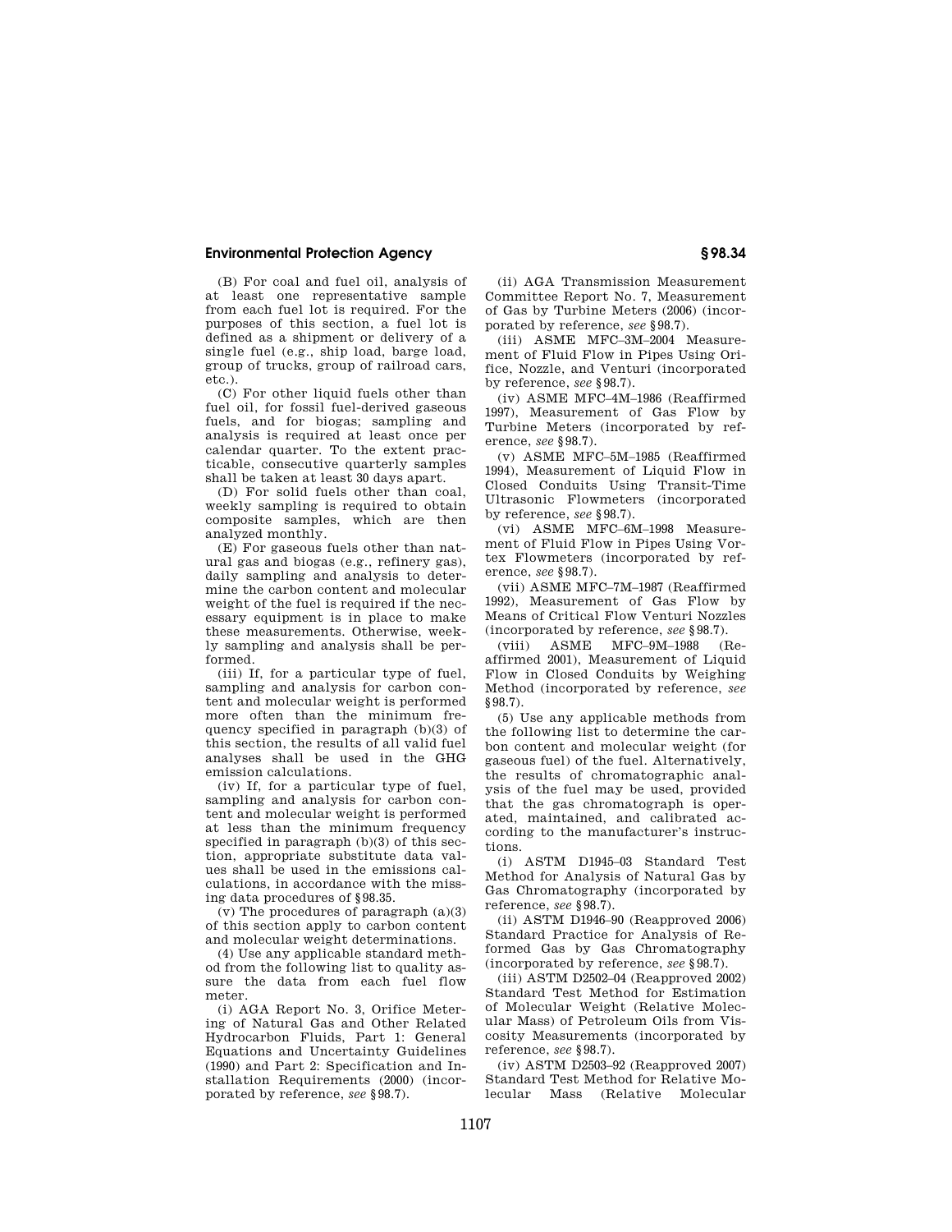## **Environmental Protection Agency § 98.34**

(B) For coal and fuel oil, analysis of at least one representative sample from each fuel lot is required. For the purposes of this section, a fuel lot is defined as a shipment or delivery of a single fuel (e.g., ship load, barge load, group of trucks, group of railroad cars, etc.).

(C) For other liquid fuels other than fuel oil, for fossil fuel-derived gaseous fuels, and for biogas; sampling and analysis is required at least once per calendar quarter. To the extent practicable, consecutive quarterly samples shall be taken at least 30 days apart.

(D) For solid fuels other than coal, weekly sampling is required to obtain composite samples, which are then analyzed monthly.

(E) For gaseous fuels other than natural gas and biogas (e.g., refinery gas), daily sampling and analysis to determine the carbon content and molecular weight of the fuel is required if the necessary equipment is in place to make these measurements. Otherwise, weekly sampling and analysis shall be performed.

(iii) If, for a particular type of fuel, sampling and analysis for carbon content and molecular weight is performed more often than the minimum frequency specified in paragraph (b)(3) of this section, the results of all valid fuel analyses shall be used in the GHG emission calculations.

(iv) If, for a particular type of fuel, sampling and analysis for carbon content and molecular weight is performed at less than the minimum frequency specified in paragraph (b)(3) of this section, appropriate substitute data values shall be used in the emissions calculations, in accordance with the missing data procedures of §98.35.

 $(v)$  The procedures of paragraph  $(a)(3)$ of this section apply to carbon content and molecular weight determinations.

(4) Use any applicable standard method from the following list to quality assure the data from each fuel flow meter.

(i) AGA Report No. 3, Orifice Metering of Natural Gas and Other Related Hydrocarbon Fluids, Part 1: General Equations and Uncertainty Guidelines (1990) and Part 2: Specification and Installation Requirements (2000) (incorporated by reference, *see* §98.7).

(ii) AGA Transmission Measurement Committee Report No. 7, Measurement of Gas by Turbine Meters (2006) (incorporated by reference, *see* §98.7).

(iii) ASME MFC–3M–2004 Measurement of Fluid Flow in Pipes Using Orifice, Nozzle, and Venturi (incorporated by reference, *see* §98.7).

(iv) ASME MFC–4M–1986 (Reaffirmed 1997), Measurement of Gas Flow by Turbine Meters (incorporated by reference, *see* §98.7).

(v) ASME MFC–5M–1985 (Reaffirmed 1994), Measurement of Liquid Flow in Closed Conduits Using Transit-Time Ultrasonic Flowmeters (incorporated by reference, *see* §98.7).

(vi) ASME MFC–6M–1998 Measurement of Fluid Flow in Pipes Using Vortex Flowmeters (incorporated by reference, *see* §98.7).

(vii) ASME MFC–7M–1987 (Reaffirmed 1992), Measurement of Gas Flow by Means of Critical Flow Venturi Nozzles (incorporated by reference, *see* §98.7).

(viii) ASME MFC–9M–1988 (Reaffirmed 2001), Measurement of Liquid Flow in Closed Conduits by Weighing Method (incorporated by reference, *see*  §98.7).

(5) Use any applicable methods from the following list to determine the carbon content and molecular weight (for gaseous fuel) of the fuel. Alternatively, the results of chromatographic analysis of the fuel may be used, provided that the gas chromatograph is operated, maintained, and calibrated according to the manufacturer's instructions.

(i) ASTM D1945–03 Standard Test Method for Analysis of Natural Gas by Gas Chromatography (incorporated by reference, *see* §98.7).

(ii) ASTM D1946–90 (Reapproved 2006) Standard Practice for Analysis of Reformed Gas by Gas Chromatography (incorporated by reference, *see* §98.7).

(iii) ASTM D2502–04 (Reapproved 2002) Standard Test Method for Estimation of Molecular Weight (Relative Molecular Mass) of Petroleum Oils from Viscosity Measurements (incorporated by reference, *see* §98.7).

(iv) ASTM D2503–92 (Reapproved 2007) Standard Test Method for Relative Molecular Mass (Relative Molecular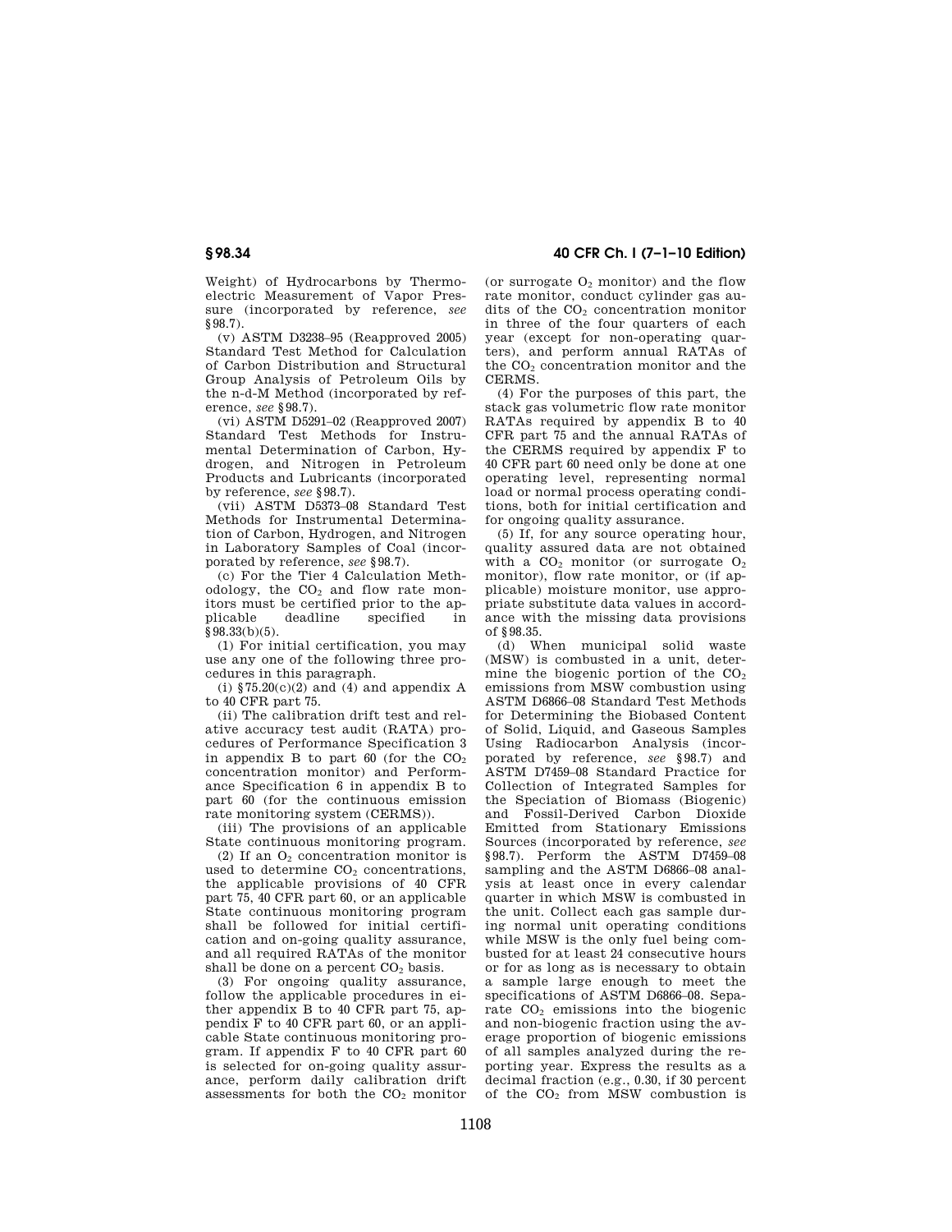Weight) of Hydrocarbons by Thermoelectric Measurement of Vapor Pressure (incorporated by reference, *see*  §98.7).

(v) ASTM D3238–95 (Reapproved 2005) Standard Test Method for Calculation of Carbon Distribution and Structural Group Analysis of Petroleum Oils by the n-d-M Method (incorporated by reference, *see* §98.7).

(vi) ASTM D5291–02 (Reapproved 2007) Standard Test Methods for Instrumental Determination of Carbon, Hydrogen, and Nitrogen in Petroleum Products and Lubricants (incorporated by reference, *see* §98.7).

(vii) ASTM D5373–08 Standard Test Methods for Instrumental Determination of Carbon, Hydrogen, and Nitrogen in Laboratory Samples of Coal (incorporated by reference, *see* §98.7).

(c) For the Tier 4 Calculation Methodology, the  $CO<sub>2</sub>$  and flow rate monitors must be certified prior to the ap-<br>plicable deadline specified in plicable deadline specified in  $§ 98.33(b)(5).$ 

(1) For initial certification, you may use any one of the following three procedures in this paragraph.

(i)  $$75.20(c)(2)$  and (4) and appendix A to 40 CFR part 75.

(ii) The calibration drift test and relative accuracy test audit (RATA) procedures of Performance Specification 3 in appendix B to part 60 (for the  $CO<sub>2</sub>$ concentration monitor) and Performance Specification 6 in appendix B to part 60 (for the continuous emission rate monitoring system (CERMS)).

(iii) The provisions of an applicable State continuous monitoring program.

(2) If an  $O<sub>2</sub>$  concentration monitor is used to determine  $CO<sub>2</sub>$  concentrations, the applicable provisions of 40 CFR part 75, 40 CFR part 60, or an applicable State continuous monitoring program shall be followed for initial certification and on-going quality assurance, and all required RATAs of the monitor shall be done on a percent  $CO<sub>2</sub>$  basis.

(3) For ongoing quality assurance, follow the applicable procedures in either appendix B to 40 CFR part 75, appendix F to 40 CFR part 60, or an applicable State continuous monitoring program. If appendix F to 40 CFR part 60 is selected for on-going quality assurance, perform daily calibration drift assessments for both the CO<sub>2</sub> monitor

**§ 98.34 40 CFR Ch. I (7–1–10 Edition)** 

(or surrogate  $O_2$  monitor) and the flow rate monitor, conduct cylinder gas audits of the  $\rm CO_2$  concentration monitor in three of the four quarters of each year (except for non-operating quarters), and perform annual RATAs of the CO<sub>2</sub> concentration monitor and the CERMS.

(4) For the purposes of this part, the stack gas volumetric flow rate monitor RATAs required by appendix B to 40 CFR part 75 and the annual RATAs of the CERMS required by appendix F to 40 CFR part 60 need only be done at one operating level, representing normal load or normal process operating conditions, both for initial certification and for ongoing quality assurance.

(5) If, for any source operating hour, quality assured data are not obtained with a  $CO<sub>2</sub>$  monitor (or surrogate  $O<sub>2</sub>$ monitor), flow rate monitor, or (if applicable) moisture monitor, use appropriate substitute data values in accordance with the missing data provisions of §98.35.

(d) When municipal solid waste (MSW) is combusted in a unit, determine the biogenic portion of the  $CO<sub>2</sub>$ emissions from MSW combustion using ASTM D6866–08 Standard Test Methods for Determining the Biobased Content of Solid, Liquid, and Gaseous Samples Using Radiocarbon Analysis (incorporated by reference, *see* §98.7) and ASTM D7459–08 Standard Practice for Collection of Integrated Samples for the Speciation of Biomass (Biogenic) and Fossil-Derived Carbon Dioxide Emitted from Stationary Emissions Sources (incorporated by reference, *see*  §98.7). Perform the ASTM D7459–08 sampling and the ASTM D6866–08 analysis at least once in every calendar quarter in which MSW is combusted in the unit. Collect each gas sample during normal unit operating conditions while MSW is the only fuel being combusted for at least 24 consecutive hours or for as long as is necessary to obtain a sample large enough to meet the specifications of ASTM D6866–08. Separate  $CO<sub>2</sub>$  emissions into the biogenic and non-biogenic fraction using the average proportion of biogenic emissions of all samples analyzed during the reporting year. Express the results as a decimal fraction (e.g., 0.30, if 30 percent of the  $CO<sub>2</sub>$  from MSW combustion is